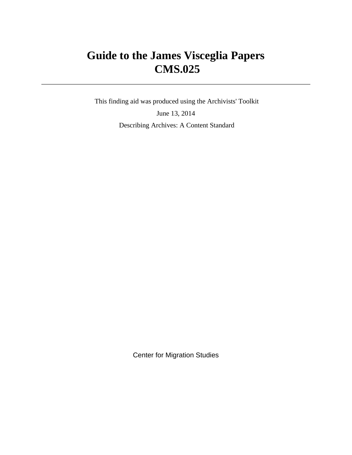# **Guide to the James Visceglia Papers CMS.025**

 This finding aid was produced using the Archivists' Toolkit June 13, 2014 Describing Archives: A Content Standard

Center for Migration Studies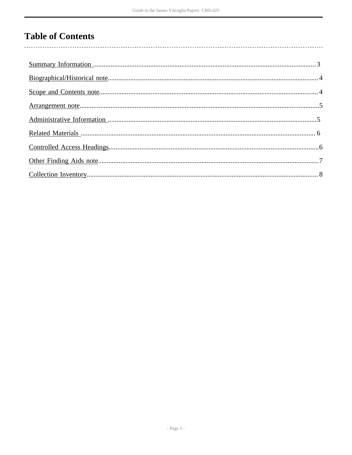# **Table of Contents**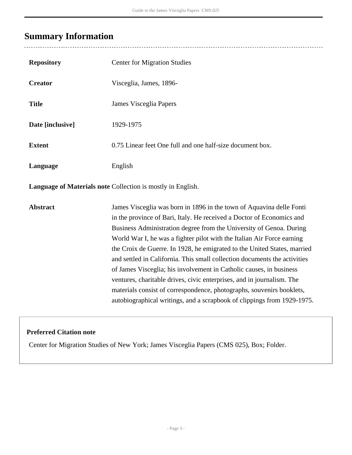# <span id="page-2-0"></span>**Summary Information**

 $\overline{a}$ 

| <b>Repository</b>                                           | <b>Center for Migration Studies</b>                                                                                                                                                                                                                                                                                                                                                                                                                                                                                                                                                                                                                                                                                                                          |  |  |  |
|-------------------------------------------------------------|--------------------------------------------------------------------------------------------------------------------------------------------------------------------------------------------------------------------------------------------------------------------------------------------------------------------------------------------------------------------------------------------------------------------------------------------------------------------------------------------------------------------------------------------------------------------------------------------------------------------------------------------------------------------------------------------------------------------------------------------------------------|--|--|--|
|                                                             |                                                                                                                                                                                                                                                                                                                                                                                                                                                                                                                                                                                                                                                                                                                                                              |  |  |  |
| <b>Creator</b>                                              | Visceglia, James, 1896-                                                                                                                                                                                                                                                                                                                                                                                                                                                                                                                                                                                                                                                                                                                                      |  |  |  |
| <b>Title</b>                                                | James Visceglia Papers                                                                                                                                                                                                                                                                                                                                                                                                                                                                                                                                                                                                                                                                                                                                       |  |  |  |
| Date [inclusive]                                            | 1929-1975                                                                                                                                                                                                                                                                                                                                                                                                                                                                                                                                                                                                                                                                                                                                                    |  |  |  |
| <b>Extent</b>                                               | 0.75 Linear feet One full and one half-size document box.                                                                                                                                                                                                                                                                                                                                                                                                                                                                                                                                                                                                                                                                                                    |  |  |  |
| Language                                                    | English                                                                                                                                                                                                                                                                                                                                                                                                                                                                                                                                                                                                                                                                                                                                                      |  |  |  |
| Language of Materials note Collection is mostly in English. |                                                                                                                                                                                                                                                                                                                                                                                                                                                                                                                                                                                                                                                                                                                                                              |  |  |  |
| <b>Abstract</b>                                             | James Visceglia was born in 1896 in the town of Aquavina delle Fonti<br>in the province of Bari, Italy. He received a Doctor of Economics and<br>Business Administration degree from the University of Genoa. During<br>World War I, he was a fighter pilot with the Italian Air Force earning<br>the Croix de Guerre. In 1928, he emigrated to the United States, married<br>and settled in California. This small collection documents the activities<br>of James Visceglia; his involvement in Catholic causes, in business<br>ventures, charitable drives, civic enterprises, and in journalism. The<br>materials consist of correspondence, photographs, souvenirs booklets,<br>autobiographical writings, and a scrapbook of clippings from 1929-1975. |  |  |  |

#### **Preferred Citation note**

Center for Migration Studies of New York; James Visceglia Papers (CMS 025), Box; Folder.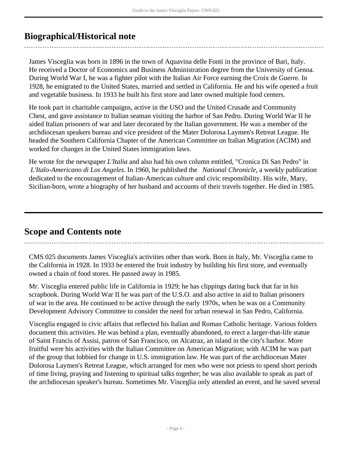## <span id="page-3-0"></span>**Biographical/Historical note**

James Visceglia was born in 1896 in the town of Aquavina delle Fonti in the province of Bari, Italy. He received a Doctor of Economics and Business Administration degree from the University of Genoa. During World War I, he was a fighter pilot with the Italian Air Force earning the Croix de Guerre. In 1928, he emigrated to the United States, married and settled in California. He and his wife opened a fruit and vegetable business. In 1933 he built his first store and later owned multiple food centers.

He took part in charitable campaigns, active in the USO and the United Crusade and Community Chest, and gave assistance to Italian seaman visiting the harbor of San Pedro. During World War II he aided Italian prisoners of war and later decorated by the Italian government. He was a member of the archdiocesan speakers bureau and vice president of the Mater Dolorosa Laymen's Retreat League. He headed the Southern California Chapter of the American Committee on Italian Migration (ACIM) and worked for changes in the United States immigration laws.

He wrote for the newspaper *L'Italia* and also had his own column entitled, "Cronica Di San Pedro" in  *L'Italo-Americano di Los Angeles*. In 1960, he published the *National Chronicle*, a weekly publication dedicated to the encouragement of Italian-American culture and civic responsibility. His wife, Mary, Sicilian-born, wrote a biography of her husband and accounts of their travels together. He died in 1985.

### <span id="page-3-1"></span>**Scope and Contents note**

CMS 025 documents James Visceglia's activities other than work. Born in Italy, Mr. Visceglia came to the California in 1928. In 1933 he entered the fruit industry by building his first store, and eventually owned a chain of food stores. He passed away in 1985.

Mr. Visceglia entered public life in California in 1929; he has clippings dating back that far in his scrapbook. During World War II he was part of the U.S.O. and also active in aid to Italian prisoners of war in the area. He continued to be active through the early 1970s, when he was on a Community Development Advisory Committee to consider the need for urban renewal in San Pedro, California.

Visceglia engaged in civic affairs that reflected his Italian and Roman Catholic heritage. Various folders document this activities. He was behind a plan, eventually abandoned, to erect a larger-that-life statue of Saint Francis of Assisi, patron of San Francisco, on Alcatraz, an island in the city's harbor. More fruitful were his activities with the Italian Committee on American Migration; with ACIM he was part of the group that lobbied for change in U.S. immigration law. He was part of the archdiocesan Mater Dolorosa Laymen's Retreat League, which arranged for men who were not priests to spend short periods of time living, praying and listening to spiritual talks together; he was also available to speak as part of the archdiocesan speaker's bureau. Sometimes Mr. Visceglia only attended an event, and he saved several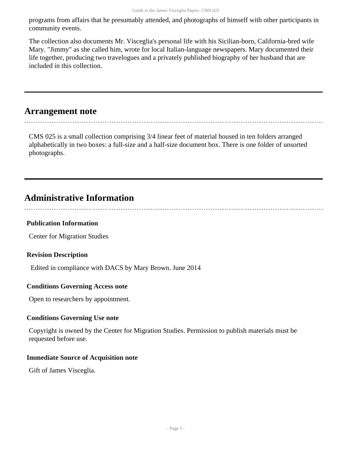programs from affairs that he presumably attended, and photographs of himself with other participants in community events.

The collection also documents Mr. Visceglia's personal life with his Sicilian-born, California-bred wife Mary. "Jimmy" as she called him, wrote for local Italian-language newspapers. Mary documented their life together, producing two travelogues and a privately published biography of her husband that are included in this collection.

### <span id="page-4-0"></span>**Arrangement note**

CMS 025 is a small collection comprising 3/4 linear feet of material housed in ten folders arranged alphabetically in two boxes: a full-size and a half-size document box. There is one folder of unsorted photographs.

## <span id="page-4-1"></span>**Administrative Information**

#### **Publication Information**

Center for Migration Studies

#### **Revision Description**

Edited in compliance with DACS by Mary Brown. June 2014

#### **Conditions Governing Access note**

Open to researchers by appointment.

#### **Conditions Governing Use note**

Copyright is owned by the Center for Migration Studies. Permission to publish materials must be requested before use.

#### **Immediate Source of Acquisition note**

Gift of James Visceglia.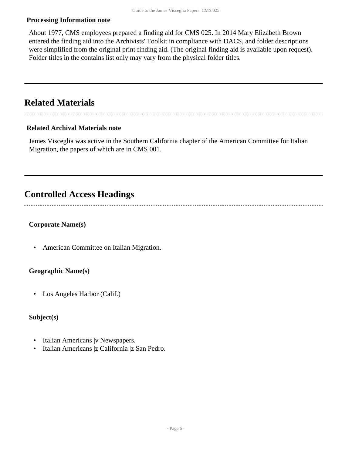#### **Processing Information note**

About 1977, CMS employees prepared a finding aid for CMS 025. In 2014 Mary Elizabeth Brown entered the finding aid into the Archivists' Toolkit in compliance with DACS, and folder descriptions were simplified from the original print finding aid. (The original finding aid is available upon request). Folder titles in the contains list only may vary from the physical folder titles.

## <span id="page-5-0"></span>**Related Materials**

#### **Related Archival Materials note**

James Visceglia was active in the Southern California chapter of the American Committee for Italian Migration, the papers of which are in CMS 001.

## <span id="page-5-1"></span>**Controlled Access Headings**

#### **Corporate Name(s)**

• American Committee on Italian Migration.

#### **Geographic Name(s)**

• Los Angeles Harbor (Calif.)

#### **Subject(s)**

- Italian Americans | v Newspapers.
- Italian Americans |z California |z San Pedro.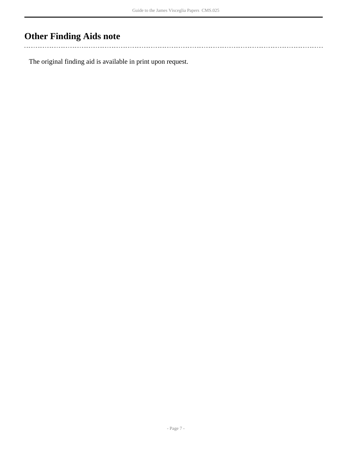# <span id="page-6-0"></span>**Other Finding Aids note**

 $\ddotsc$ 

The original finding aid is available in print upon request.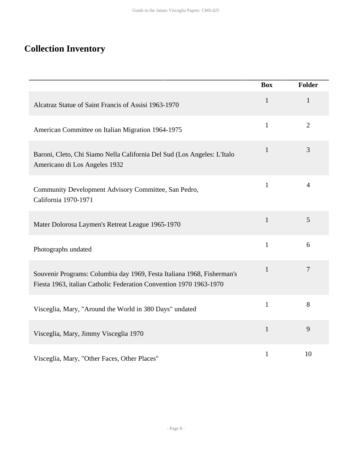# <span id="page-7-0"></span>**Collection Inventory**

|                                                                                                                                              | <b>Box</b>   | Folder         |
|----------------------------------------------------------------------------------------------------------------------------------------------|--------------|----------------|
| Alcatraz Statue of Saint Francis of Assisi 1963-1970                                                                                         | $\mathbf{1}$ | $\mathbf{1}$   |
| American Committee on Italian Migration 1964-1975                                                                                            | $\mathbf{1}$ | $\overline{2}$ |
| Baroni, Cleto, Chi Siamo Nella California Del Sud (Los Angeles: L'Italo<br>Americano di Los Angeles 1932                                     | $\mathbf{1}$ | 3              |
| Community Development Advisory Committee, San Pedro,<br>California 1970-1971                                                                 | $\mathbf{1}$ | $\overline{4}$ |
| Mater Dolorosa Laymen's Retreat League 1965-1970                                                                                             | $\mathbf{1}$ | 5              |
| Photographs undated                                                                                                                          | $\mathbf{1}$ | 6              |
| Souvenir Programs: Columbia day 1969, Festa Italiana 1968, Fisherman's<br>Fiesta 1963, italian Catholic Federation Convention 1970 1963-1970 | $\mathbf{1}$ | $\overline{7}$ |
| Visceglia, Mary, "Around the World in 380 Days" undated                                                                                      | $\mathbf{1}$ | 8              |
| Visceglia, Mary, Jimmy Visceglia 1970                                                                                                        | $\mathbf{1}$ | 9              |
| Visceglia, Mary, "Other Faces, Other Places"                                                                                                 | $\mathbf{1}$ | 10             |